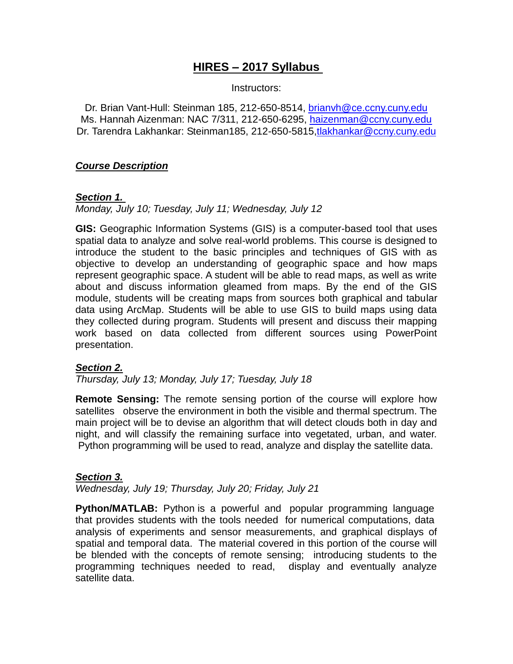# **HIRES – 2017 Syllabus**

Instructors:

Dr. Brian Vant-Hull: Steinman 185, 212-650-8514, [brianvh@ce.ccny.cuny.edu](mailto:brianvh@ce.ccny.cuny.edu)  Ms. Hannah Aizenman: NAC 7/311, 212-650-6295, [haizenman@ccny.cuny.edu](mailto:haizenman@ccny.cuny.edu)  Dr. Tarendra Lakhankar: Steinman185, 212-650-5815[,tlakhankar@ccny.cuny.edu](mailto:tlakhankar@ccny.cuny.edu)

#### *Course Description*

#### *Section 1.*

*Monday, July 10; Tuesday, July 11; Wednesday, July 12*

**GIS:** Geographic Information Systems (GIS) is a computer-based tool that uses spatial data to analyze and solve real-world problems. This course is designed to introduce the student to the basic principles and techniques of GIS with as objective to develop an understanding of geographic space and how maps represent geographic space. A student will be able to read maps, as well as write about and discuss information gleamed from maps. By the end of the GIS module, students will be creating maps from sources both graphical and tabular data using ArcMap. Students will be able to use GIS to build maps using data they collected during program. Students will present and discuss their mapping work based on data collected from different sources using PowerPoint presentation.

### *Section 2.*

*Thursday, July 13; Monday, July 17; Tuesday, July 18*

**Remote Sensing:** The remote sensing portion of the course will explore how satellites observe the environment in both the visible and thermal spectrum. The main project will be to devise an algorithm that will detect clouds both in day and night, and will classify the remaining surface into vegetated, urban, and water. Python programming will be used to read, analyze and display the satellite data.

#### *Section 3.*

*Wednesday, July 19; Thursday, July 20; Friday, July 21*

**Python/MATLAB:** Python is a powerful and popular programming language that provides students with the tools needed for numerical computations, data analysis of experiments and sensor measurements, and graphical displays of spatial and temporal data. The material covered in this portion of the course will be blended with the concepts of remote sensing; introducing students to the programming techniques needed to read, display and eventually analyze satellite data.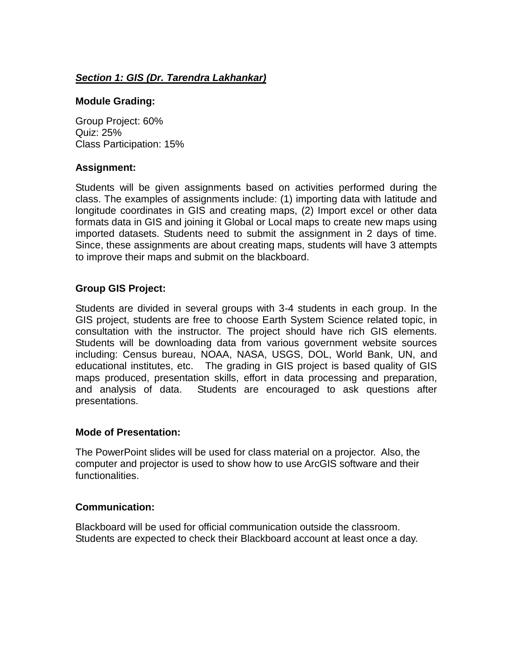## *Section 1: GIS (Dr. Tarendra Lakhankar)*

#### **Module Grading:**

Group Project: 60% Quiz: 25% Class Participation: 15%

#### **Assignment:**

Students will be given assignments based on activities performed during the class. The examples of assignments include: (1) importing data with latitude and longitude coordinates in GIS and creating maps, (2) Import excel or other data formats data in GIS and joining it Global or Local maps to create new maps using imported datasets. Students need to submit the assignment in 2 days of time. Since, these assignments are about creating maps, students will have 3 attempts to improve their maps and submit on the blackboard.

### **Group GIS Project:**

Students are divided in several groups with 3-4 students in each group. In the GIS project, students are free to choose Earth System Science related topic, in consultation with the instructor. The project should have rich GIS elements. Students will be downloading data from various government website sources including: Census bureau, NOAA, NASA, USGS, DOL, World Bank, UN, and educational institutes, etc. The grading in GIS project is based quality of GIS maps produced, presentation skills, effort in data processing and preparation, and analysis of data. Students are encouraged to ask questions after presentations.

#### **Mode of Presentation:**

The PowerPoint slides will be used for class material on a projector. Also, the computer and projector is used to show how to use ArcGIS software and their functionalities.

#### **Communication:**

Blackboard will be used for official communication outside the classroom. Students are expected to check their Blackboard account at least once a day.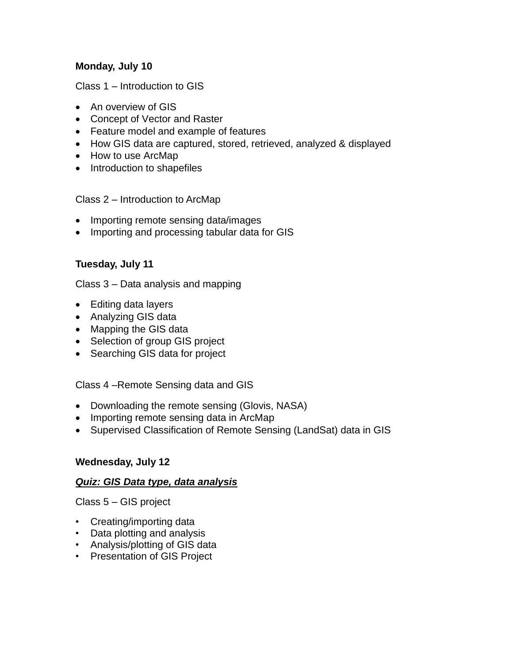## **Monday, July 10**

Class 1 – Introduction to GIS

- An overview of GIS
- Concept of Vector and Raster
- Feature model and example of features
- How GIS data are captured, stored, retrieved, analyzed & displayed
- How to use ArcMap
- Introduction to shapefiles

Class 2 – Introduction to ArcMap

- Importing remote sensing data/images
- Importing and processing tabular data for GIS

## **Tuesday, July 11**

Class 3 – Data analysis and mapping

- Editing data layers
- Analyzing GIS data
- Mapping the GIS data
- Selection of group GIS project
- Searching GIS data for project

Class 4 –Remote Sensing data and GIS

- Downloading the remote sensing (Glovis, NASA)
- Importing remote sensing data in ArcMap
- Supervised Classification of Remote Sensing (LandSat) data in GIS

### **Wednesday, July 12**

### *Quiz: GIS Data type, data analysis*

Class 5 – GIS project

- Creating/importing data
- Data plotting and analysis
- Analysis/plotting of GIS data
- Presentation of GIS Project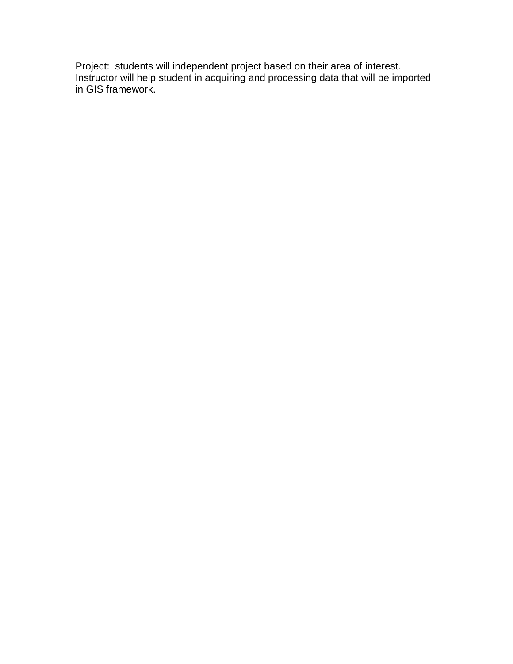Project: students will independent project based on their area of interest. Instructor will help student in acquiring and processing data that will be imported in GIS framework.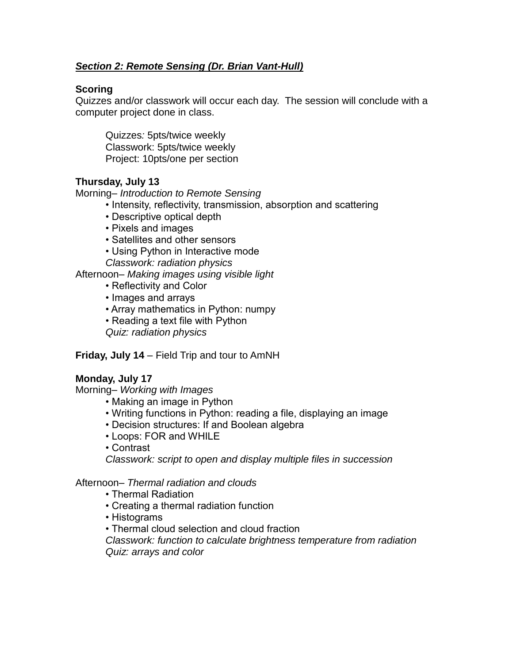## *Section 2: Remote Sensing (Dr. Brian Vant-Hull)*

### **Scoring**

Quizzes and/or classwork will occur each day. The session will conclude with a computer project done in class.

Quizzes*:* 5pts/twice weekly Classwork: 5pts/twice weekly Project: 10pts/one per section

## **Thursday, July 13**

Morning*– Introduction to Remote Sensing*

- Intensity, reflectivity, transmission, absorption and scattering
- Descriptive optical depth
- Pixels and images
- Satellites and other sensors
- Using Python in Interactive mode

*Classwork: radiation physics*

Afternoon*– Making images using visible light*

- Reflectivity and Color
- Images and arrays
- Array mathematics in Python: numpy
- Reading a text file with Python

*Quiz: radiation physics*

## **Friday, July 14** – Field Trip and tour to AmNH

## **Monday, July 17**

Morning*– Working with Images*

- Making an image in Python
- Writing functions in Python: reading a file, displaying an image
- Decision structures: If and Boolean algebra
- Loops: FOR and WHILE
- Contrast

*Classwork: script to open and display multiple files in succession*

### Afternoon*– Thermal radiation and clouds*

- Thermal Radiation
- Creating a thermal radiation function
- Histograms
- Thermal cloud selection and cloud fraction

*Classwork: function to calculate brightness temperature from radiation Quiz: arrays and color*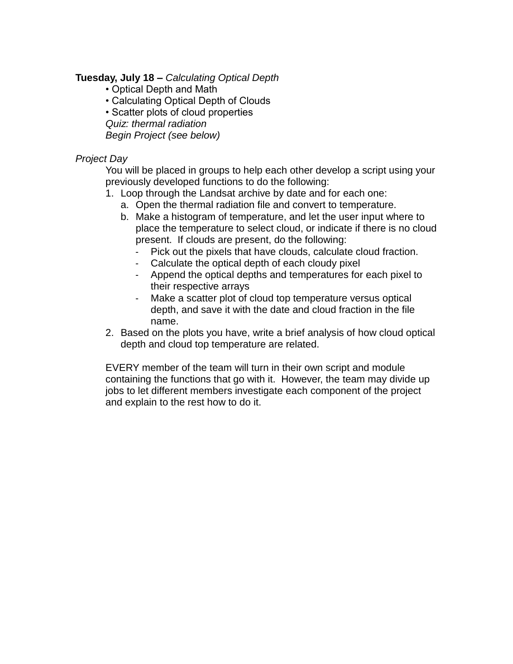#### **Tuesday, July 18 –** *Calculating Optical Depth*

- Optical Depth and Math
- Calculating Optical Depth of Clouds
- Scatter plots of cloud properties
- *Quiz: thermal radiation*

*Begin Project (see below)*

### *Project Day*

You will be placed in groups to help each other develop a script using your previously developed functions to do the following:

- 1. Loop through the Landsat archive by date and for each one:
	- a. Open the thermal radiation file and convert to temperature.
	- b. Make a histogram of temperature, and let the user input where to place the temperature to select cloud, or indicate if there is no cloud present. If clouds are present, do the following:
		- Pick out the pixels that have clouds, calculate cloud fraction.
		- Calculate the optical depth of each cloudy pixel
		- Append the optical depths and temperatures for each pixel to their respective arrays
		- Make a scatter plot of cloud top temperature versus optical depth, and save it with the date and cloud fraction in the file name.
- 2. Based on the plots you have, write a brief analysis of how cloud optical depth and cloud top temperature are related.

EVERY member of the team will turn in their own script and module containing the functions that go with it. However, the team may divide up jobs to let different members investigate each component of the project and explain to the rest how to do it.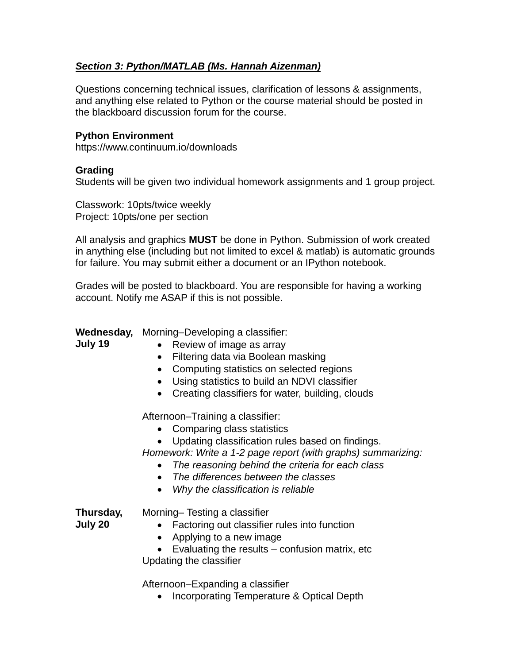## *Section 3: Python/MATLAB (Ms. Hannah Aizenman)*

Questions concerning technical issues, clarification of lessons & assignments, and anything else related to Python or the course material should be posted in the blackboard discussion forum for the course.

#### **Python Environment**

https://www.continuum.io/downloads

#### **Grading**

Students will be given two individual homework assignments and 1 group project.

Classwork: 10pts/twice weekly Project: 10pts/one per section

All analysis and graphics **MUST** be done in Python. Submission of work created in anything else (including but not limited to excel & matlab) is automatic grounds for failure. You may submit either a document or an IPython notebook.

Grades will be posted to blackboard. You are responsible for having a working account. Notify me ASAP if this is not possible.

**Wednesday,**  Morning–Developing a classifier:

- **July 19**
- Review of image as array
- Filtering data via Boolean masking
- Computing statistics on selected regions
- Using statistics to build an NDVI classifier
- Creating classifiers for water, building, clouds

Afternoon–Training a classifier:

- Comparing class statistics
- Updating classification rules based on findings.

*Homework: Write a 1-2 page report (with graphs) summarizing:*

- *The reasoning behind the criteria for each class*
- *The differences between the classes*
- *Why the classification is reliable*

**Thursday,** 

- Morning– Testing a classifier
- **July 20**
- 
- Factoring out classifier rules into function
- Applying to a new image

 Evaluating the results – confusion matrix, etc Updating the classifier

Afternoon–Expanding a classifier

• Incorporating Temperature & Optical Depth